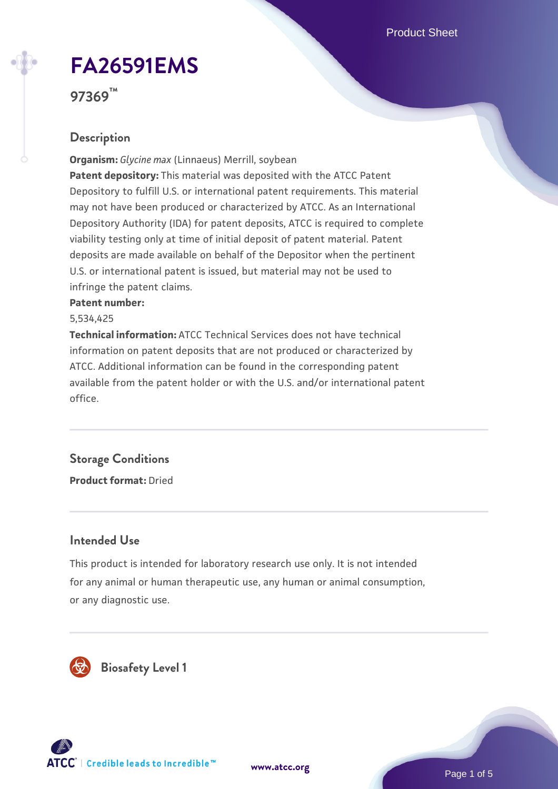Product Sheet

# **[FA26591EMS](https://www.atcc.org/products/97369)**

**97369™**

#### **Description**

**Organism:** *Glycine max* (Linnaeus) Merrill, soybean **Patent depository:** This material was deposited with the ATCC Patent Depository to fulfill U.S. or international patent requirements. This material may not have been produced or characterized by ATCC. As an International Depository Authority (IDA) for patent deposits, ATCC is required to complete viability testing only at time of initial deposit of patent material. Patent deposits are made available on behalf of the Depositor when the pertinent U.S. or international patent is issued, but material may not be used to infringe the patent claims.

#### **Patent number:**

5,534,425

**Technical information:** ATCC Technical Services does not have technical information on patent deposits that are not produced or characterized by ATCC. Additional information can be found in the corresponding patent available from the patent holder or with the U.S. and/or international patent office.

## **Storage Conditions**

**Product format:** Dried

#### **Intended Use**

This product is intended for laboratory research use only. It is not intended for any animal or human therapeutic use, any human or animal consumption, or any diagnostic use.



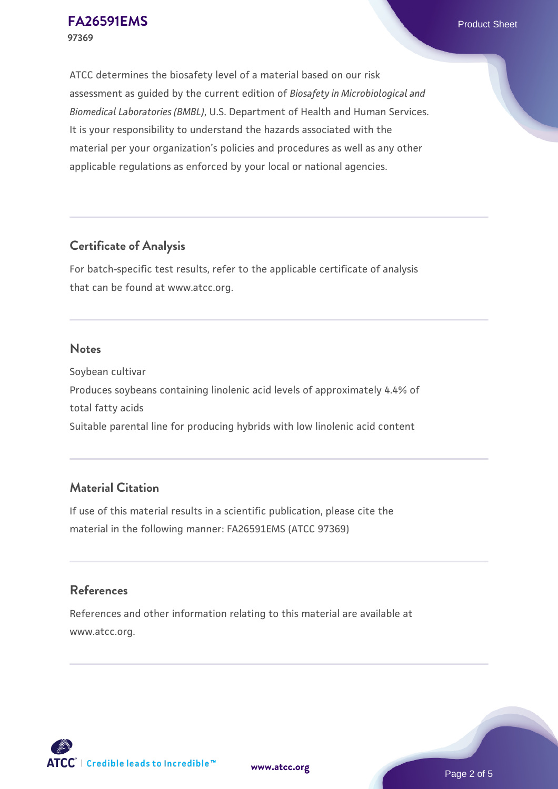ATCC determines the biosafety level of a material based on our risk assessment as guided by the current edition of *Biosafety in Microbiological and Biomedical Laboratories (BMBL)*, U.S. Department of Health and Human Services. It is your responsibility to understand the hazards associated with the material per your organization's policies and procedures as well as any other applicable regulations as enforced by your local or national agencies.

#### **Certificate of Analysis**

For batch-specific test results, refer to the applicable certificate of analysis that can be found at www.atcc.org.

#### **Notes**

Soybean cultivar Produces soybeans containing linolenic acid levels of approximately 4.4% of total fatty acids Suitable parental line for producing hybrids with low linolenic acid content

#### **Material Citation**

If use of this material results in a scientific publication, please cite the material in the following manner: FA26591EMS (ATCC 97369)

#### **References**

References and other information relating to this material are available at www.atcc.org.

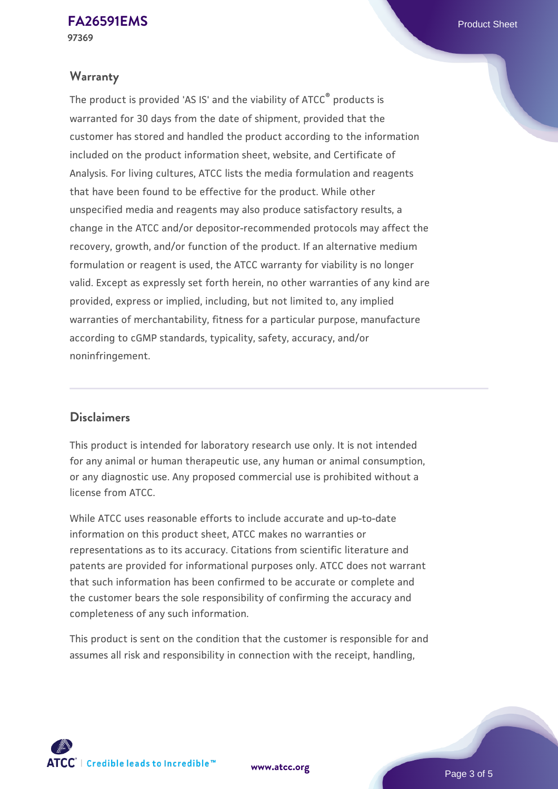#### **Warranty**

The product is provided 'AS IS' and the viability of ATCC® products is warranted for 30 days from the date of shipment, provided that the customer has stored and handled the product according to the information included on the product information sheet, website, and Certificate of Analysis. For living cultures, ATCC lists the media formulation and reagents that have been found to be effective for the product. While other unspecified media and reagents may also produce satisfactory results, a change in the ATCC and/or depositor-recommended protocols may affect the recovery, growth, and/or function of the product. If an alternative medium formulation or reagent is used, the ATCC warranty for viability is no longer valid. Except as expressly set forth herein, no other warranties of any kind are provided, express or implied, including, but not limited to, any implied warranties of merchantability, fitness for a particular purpose, manufacture according to cGMP standards, typicality, safety, accuracy, and/or noninfringement.

#### **Disclaimers**

This product is intended for laboratory research use only. It is not intended for any animal or human therapeutic use, any human or animal consumption, or any diagnostic use. Any proposed commercial use is prohibited without a license from ATCC.

While ATCC uses reasonable efforts to include accurate and up-to-date information on this product sheet, ATCC makes no warranties or representations as to its accuracy. Citations from scientific literature and patents are provided for informational purposes only. ATCC does not warrant that such information has been confirmed to be accurate or complete and the customer bears the sole responsibility of confirming the accuracy and completeness of any such information.

This product is sent on the condition that the customer is responsible for and assumes all risk and responsibility in connection with the receipt, handling,

**[www.atcc.org](http://www.atcc.org)**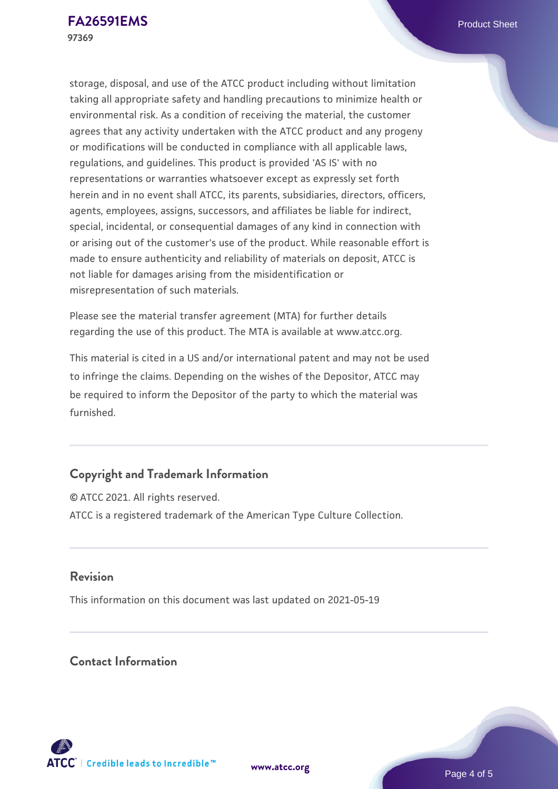storage, disposal, and use of the ATCC product including without limitation taking all appropriate safety and handling precautions to minimize health or environmental risk. As a condition of receiving the material, the customer agrees that any activity undertaken with the ATCC product and any progeny or modifications will be conducted in compliance with all applicable laws, regulations, and guidelines. This product is provided 'AS IS' with no representations or warranties whatsoever except as expressly set forth herein and in no event shall ATCC, its parents, subsidiaries, directors, officers, agents, employees, assigns, successors, and affiliates be liable for indirect, special, incidental, or consequential damages of any kind in connection with or arising out of the customer's use of the product. While reasonable effort is made to ensure authenticity and reliability of materials on deposit, ATCC is not liable for damages arising from the misidentification or misrepresentation of such materials.

Please see the material transfer agreement (MTA) for further details regarding the use of this product. The MTA is available at www.atcc.org.

This material is cited in a US and/or international patent and may not be used to infringe the claims. Depending on the wishes of the Depositor, ATCC may be required to inform the Depositor of the party to which the material was furnished.

#### **Copyright and Trademark Information**

© ATCC 2021. All rights reserved. ATCC is a registered trademark of the American Type Culture Collection.

#### **Revision**

This information on this document was last updated on 2021-05-19

#### **Contact Information**